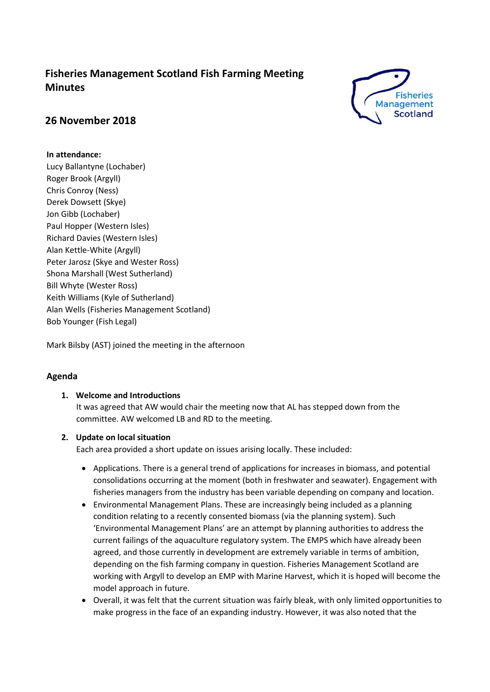# **Fisheries Management Scotland Fish Farming Meeting Minutes**



# **26 November 2018**

# **In attendance:**

Lucy Ballantyne (Lochaber) Roger Brook (Argyll) Chris Conroy (Ness) Derek Dowsett (Skye) Jon Gibb (Lochaber) Paul Hopper (Western Isles) Richard Davies (Western Isles) Alan Kettle-White (Argyll) Peter Jarosz (Skye and Wester Ross) Shona Marshall (West Sutherland) Bill Whyte (Wester Ross) Keith Williams (Kyle of Sutherland) Alan Wells (Fisheries Management Scotland) Bob Younger (Fish Legal)

Mark Bilsby (AST) joined the meeting in the afternoon

# **Agenda**

# **1. Welcome and Introductions**

It was agreed that AW would chair the meeting now that AL has stepped down from the committee. AW welcomed LB and RD to the meeting.

# **2. Update on local situation**

Each area provided a short update on issues arising locally. These included:

- Applications. There is a general trend of applications for increases in biomass, and potential consolidations occurring at the moment (both in freshwater and seawater). Engagement with fisheries managers from the industry has been variable depending on company and location.
- Environmental Management Plans. These are increasingly being included as a planning condition relating to a recently consented biomass (via the planning system). Such 'Environmental Management Plans' are an attempt by planning authorities to address the current failings of the aquaculture regulatory system. The EMPS which have already been agreed, and those currently in development are extremely variable in terms of ambition, depending on the fish farming company in question. Fisheries Management Scotland are working with Argyll to develop an EMP with Marine Harvest, which it is hoped will become the model approach in future.
- Overall, it was felt that the current situation was fairly bleak, with only limited opportunities to make progress in the face of an expanding industry. However, it was also noted that the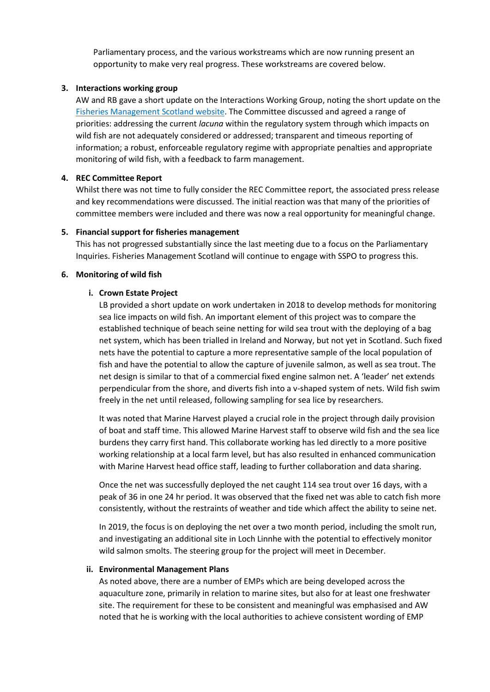Parliamentary process, and the various workstreams which are now running present an opportunity to make very real progress. These workstreams are covered below.

## **3. Interactions working group**

AW and RB gave a short update on the Interactions Working Group, noting the short update on the [Fisheries Management Scotland website.](http://fms.scot/update-on-the-scottish-government-interactions-working-group/) The Committee discussed and agreed a range of priorities: addressing the current *lacuna* within the regulatory system through which impacts on wild fish are not adequately considered or addressed; transparent and timeous reporting of information; a robust, enforceable regulatory regime with appropriate penalties and appropriate monitoring of wild fish, with a feedback to farm management.

## **4. REC Committee Report**

Whilst there was not time to fully consider the REC Committee report, the associated press release and key recommendations were discussed. The initial reaction was that many of the priorities of committee members were included and there was now a real opportunity for meaningful change.

## **5. Financial support for fisheries management**

This has not progressed substantially since the last meeting due to a focus on the Parliamentary Inquiries. Fisheries Management Scotland will continue to engage with SSPO to progress this.

### **6. Monitoring of wild fish**

## **i. Crown Estate Project**

LB provided a short update on work undertaken in 2018 to develop methods for monitoring sea lice impacts on wild fish. An important element of this project was to compare the established technique of beach seine netting for wild sea trout with the deploying of a bag net system, which has been trialled in Ireland and Norway, but not yet in Scotland. Such fixed nets have the potential to capture a more representative sample of the local population of fish and have the potential to allow the capture of juvenile salmon, as well as sea trout. The net design is similar to that of a commercial fixed engine salmon net. A 'leader' net extends perpendicular from the shore, and diverts fish into a v-shaped system of nets. Wild fish swim freely in the net until released, following sampling for sea lice by researchers.

It was noted that Marine Harvest played a crucial role in the project through daily provision of boat and staff time. This allowed Marine Harvest staff to observe wild fish and the sea lice burdens they carry first hand. This collaborate working has led directly to a more positive working relationship at a local farm level, but has also resulted in enhanced communication with Marine Harvest head office staff, leading to further collaboration and data sharing.

Once the net was successfully deployed the net caught 114 sea trout over 16 days, with a peak of 36 in one 24 hr period. It was observed that the fixed net was able to catch fish more consistently, without the restraints of weather and tide which affect the ability to seine net.

In 2019, the focus is on deploying the net over a two month period, including the smolt run, and investigating an additional site in Loch Linnhe with the potential to effectively monitor wild salmon smolts. The steering group for the project will meet in December.

### **ii. Environmental Management Plans**

As noted above, there are a number of EMPs which are being developed across the aquaculture zone, primarily in relation to marine sites, but also for at least one freshwater site. The requirement for these to be consistent and meaningful was emphasised and AW noted that he is working with the local authorities to achieve consistent wording of EMP